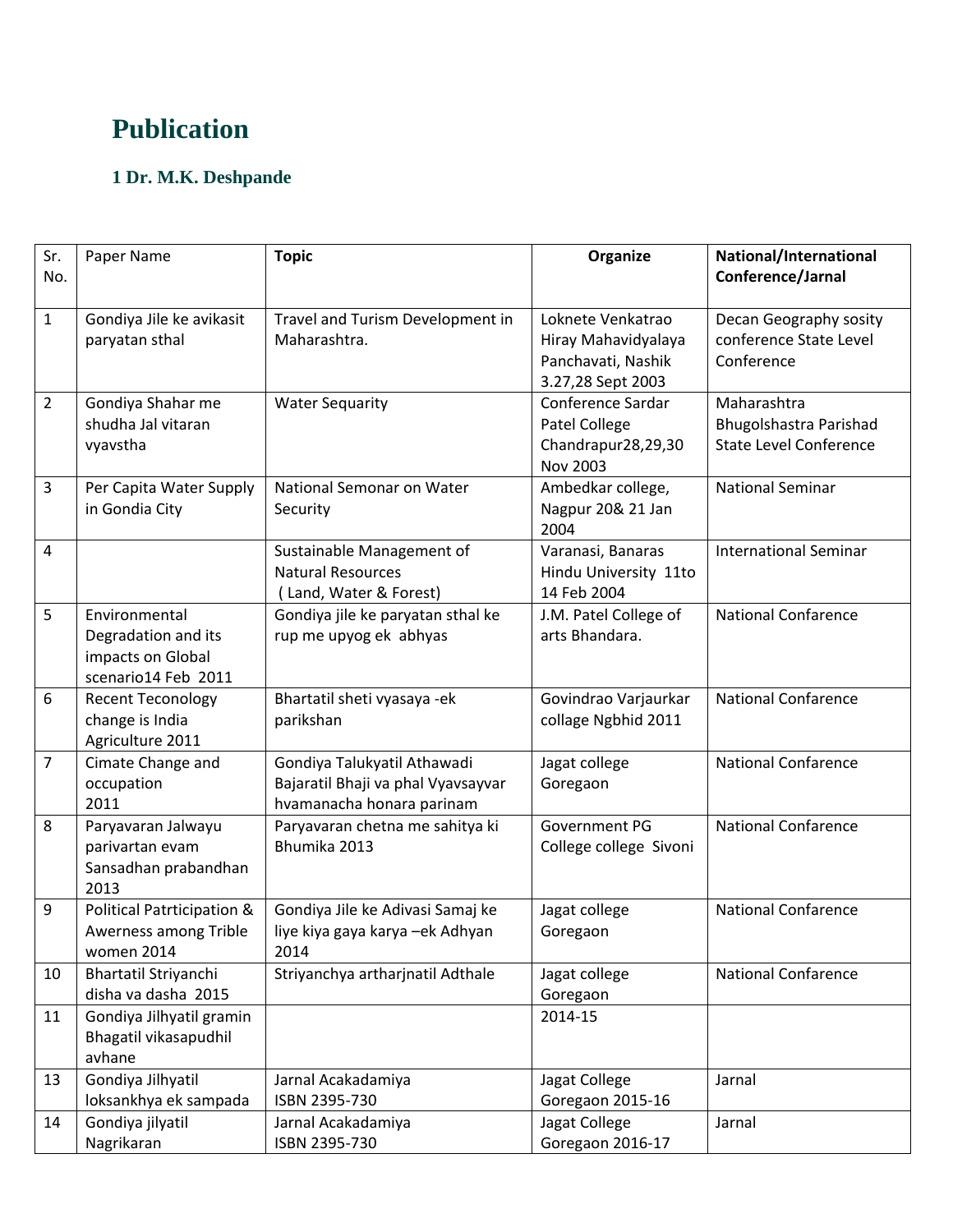## **Publication**

## **1 Dr. M.K. Deshpande**

| Sr.<br>No.     | Paper Name                                                                       | <b>Topic</b>                                                                                   | Organize                                                             | National/International<br>Conference/Jarnal                            |
|----------------|----------------------------------------------------------------------------------|------------------------------------------------------------------------------------------------|----------------------------------------------------------------------|------------------------------------------------------------------------|
| $\mathbf{1}$   | Gondiya Jile ke avikasit                                                         | Travel and Turism Development in                                                               | Loknete Venkatrao                                                    | Decan Geography sosity                                                 |
|                | paryatan sthal                                                                   | Maharashtra.                                                                                   | Hiray Mahavidyalaya<br>Panchavati, Nashik<br>3.27,28 Sept 2003       | conference State Level<br>Conference                                   |
| $\overline{2}$ | Gondiya Shahar me<br>shudha Jal vitaran<br>vyavstha                              | <b>Water Sequarity</b>                                                                         | Conference Sardar<br>Patel College<br>Chandrapur28,29,30<br>Nov 2003 | Maharashtra<br>Bhugolshastra Parishad<br><b>State Level Conference</b> |
| 3              | Per Capita Water Supply<br>in Gondia City                                        | National Semonar on Water<br>Security                                                          | Ambedkar college,<br>Nagpur 20& 21 Jan<br>2004                       | <b>National Seminar</b>                                                |
| 4              |                                                                                  | Sustainable Management of<br><b>Natural Resources</b><br>Land, Water & Forest)                 | Varanasi, Banaras<br>Hindu University 11to<br>14 Feb 2004            | <b>International Seminar</b>                                           |
| 5              | Environmental<br>Degradation and its<br>impacts on Global<br>scenario14 Feb 2011 | Gondiya jile ke paryatan sthal ke<br>rup me upyog ek abhyas                                    | J.M. Patel College of<br>arts Bhandara.                              | <b>National Confarence</b>                                             |
| 6              | <b>Recent Teconology</b><br>change is India<br>Agriculture 2011                  | Bhartatil sheti vyasaya -ek<br>parikshan                                                       | Govindrao Varjaurkar<br>collage Ngbhid 2011                          | <b>National Confarence</b>                                             |
| $\overline{7}$ | Cimate Change and<br>occupation<br>2011                                          | Gondiya Talukyatil Athawadi<br>Bajaratil Bhaji va phal Vyavsayvar<br>hvamanacha honara parinam | Jagat college<br>Goregaon                                            | <b>National Confarence</b>                                             |
| 8              | Paryavaran Jalwayu<br>parivartan evam<br>Sansadhan prabandhan<br>2013            | Paryavaran chetna me sahitya ki<br>Bhumika 2013                                                | Government PG<br>College college Sivoni                              | <b>National Confarence</b>                                             |
| 9              | Political Patrticipation &<br>Awerness among Trible<br>women 2014                | Gondiya Jile ke Adivasi Samaj ke<br>liye kiya gaya karya -ek Adhyan<br>2014                    | Jagat college<br>Goregaon                                            | <b>National Confarence</b>                                             |
| 10             | Bhartatil Striyanchi<br>disha va dasha 2015                                      | Striyanchya artharjnatil Adthale                                                               | Jagat college<br>Goregaon                                            | <b>National Confarence</b>                                             |
| 11             | Gondiya Jilhyatil gramin<br>Bhagatil vikasapudhil<br>avhane                      |                                                                                                | 2014-15                                                              |                                                                        |
| 13             | Gondiya Jilhyatil<br>loksankhya ek sampada                                       | Jarnal Acakadamiya<br>ISBN 2395-730                                                            | Jagat College<br>Goregaon 2015-16                                    | Jarnal                                                                 |
| 14             | Gondiya jilyatil<br>Nagrikaran                                                   | Jarnal Acakadamiya<br>ISBN 2395-730                                                            | Jagat College<br>Goregaon 2016-17                                    | Jarnal                                                                 |